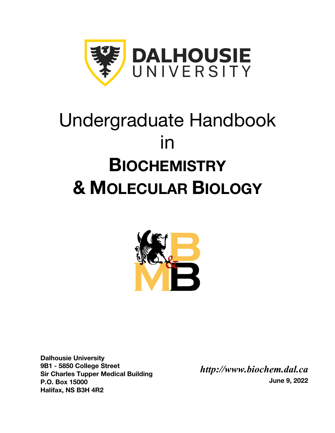

# Undergraduate Handbook in **BIOCHEMISTRY & MOLECULAR BIOLOGY**



**Dalhousie University 9B1 - 5850 College Street Sir Charles Tupper Medical Building P.O. Box 15000 Halifax, NS B3H 4R2**

*http://www.biochem.dal.ca* **June 9, 2022**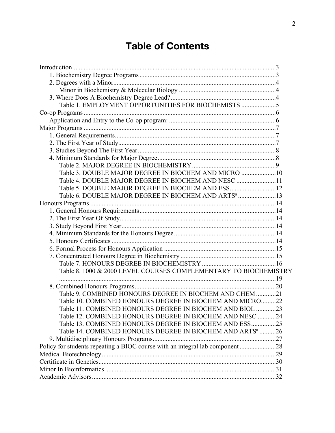## **Table of Contents**

| Table 1. EMPLOYMENT OPPORTUNITIES FOR BIOCHEMISTS 5                          |  |
|------------------------------------------------------------------------------|--|
|                                                                              |  |
|                                                                              |  |
|                                                                              |  |
|                                                                              |  |
|                                                                              |  |
|                                                                              |  |
|                                                                              |  |
|                                                                              |  |
| Table 3. DOUBLE MAJOR DEGREE IN BIOCHEM AND MICRO  10                        |  |
| Table 4. DOUBLE MAJOR DEGREE IN BIOCHEM AND NESC 11                          |  |
| Table 5. DOUBLE MAJOR DEGREE IN BIOCHEM AND ESS 12                           |  |
| Table 6. DOUBLE MAJOR DEGREE IN BIOCHEM AND ARTS <sup>a</sup> 13             |  |
|                                                                              |  |
|                                                                              |  |
|                                                                              |  |
|                                                                              |  |
|                                                                              |  |
|                                                                              |  |
|                                                                              |  |
|                                                                              |  |
|                                                                              |  |
| Table 8. 1000 & 2000 LEVEL COURSES COMPLEMENTARY TO BIOCHEMISTRY             |  |
|                                                                              |  |
|                                                                              |  |
| Table 9. COMBINED HONOURS DEGREE IN BIOCHEM AND CHEM 21                      |  |
| Table 10. COMBINED HONOURS DEGREE IN BIOCHEM AND MICRO22                     |  |
| Table 11. COMBINED HONOURS DEGREE IN BIOCHEM AND BIOL 23                     |  |
| Table 12. COMBINED HONOURS DEGREE IN BIOCHEM AND NESC 24                     |  |
| Table 13. COMBINED HONOURS DEGREE IN BIOCHEM AND ESS25                       |  |
| Table 14. COMBINED HONOURS DEGREE IN BIOCHEM AND ARTS <sup>a</sup> 26        |  |
|                                                                              |  |
| Policy for students repeating a BIOC course with an integral lab component28 |  |
|                                                                              |  |
|                                                                              |  |
|                                                                              |  |
|                                                                              |  |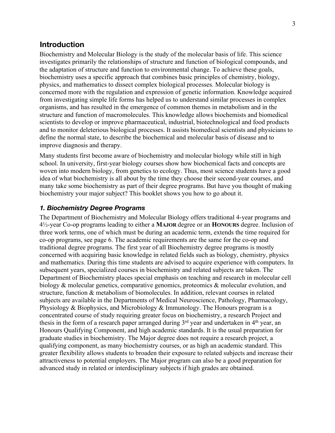## **Introduction**

Biochemistry and Molecular Biology is the study of the molecular basis of life. This science investigates primarily the relationships of structure and function of biological compounds, and the adaptation of structure and function to environmental change. To achieve these goals, biochemistry uses a specific approach that combines basic principles of chemistry, biology, physics, and mathematics to dissect complex biological processes. Molecular biology is concerned more with the regulation and expression of genetic information. Knowledge acquired from investigating simple life forms has helped us to understand similar processes in complex organisms, and has resulted in the emergence of common themes in metabolism and in the structure and function of macromolecules. This knowledge allows biochemists and biomedical scientists to develop or improve pharmaceutical, industrial, biotechnological and food products and to monitor deleterious biological processes. It assists biomedical scientists and physicians to define the normal state, to describe the biochemical and molecular basis of disease and to improve diagnosis and therapy.

Many students first become aware of biochemistry and molecular biology while still in high school. In university, first-year biology courses show how biochemical facts and concepts are woven into modern biology, from genetics to ecology. Thus, most science students have a good idea of what biochemistry is all about by the time they choose their second-year courses, and many take some biochemistry as part of their degree programs. But have you thought of making biochemistry your major subject? This booklet shows you how to go about it.

#### *1. Biochemistry Degree Programs*

The Department of Biochemistry and Molecular Biology offers traditional 4-year programs and 4½-year Co-op programs leading to either a **MAJOR** degree or an **HONOURS** degree. Inclusion of three work terms, one of which must be during an academic term, extends the time required for co-op programs, see page 6. The academic requirements are the same for the co-op and traditional degree programs. The first year of all Biochemistry degree programs is mostly concerned with acquiring basic knowledge in related fields such as biology, chemistry, physics and mathematics. During this time students are advised to acquire experience with computers. In subsequent years, specialized courses in biochemistry and related subjects are taken. The Department of Biochemistry places special emphasis on teaching and research in molecular cell biology & molecular genetics, comparative genomics, proteomics & molecular evolution, and structure, function & metabolism of biomolecules. In addition, relevant courses in related subjects are available in the Departments of Medical Neuroscience, Pathology, Pharmacology, Physiology & Biophysics, and Microbiology & Immunology. The Honours program is a concentrated course of study requiring greater focus on biochemistry, a research Project and thesis in the form of a research paper arranged during  $3<sup>rd</sup>$  year and undertaken in 4<sup>th</sup> year, an Honours Qualifying Component, and high academic standards. It is the usual preparation for graduate studies in biochemistry. The Major degree does not require a research project, a qualifying component, as many biochemistry courses, or as high an academic standard. This greater flexibility allows students to broaden their exposure to related subjects and increase their attractiveness to potential employers. The Major program can also be a good preparation for advanced study in related or interdisciplinary subjects if high grades are obtained.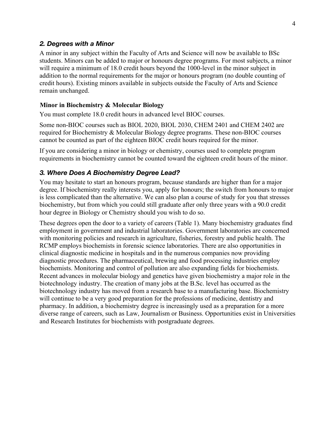#### *2. Degrees with a Minor*

A minor in any subject within the Faculty of Arts and Science will now be available to BSc students. Minors can be added to major or honours degree programs. For most subjects, a minor will require a minimum of 18.0 credit hours beyond the 1000-level in the minor subject in addition to the normal requirements for the major or honours program (no double counting of credit hours). Existing minors available in subjects outside the Faculty of Arts and Science remain unchanged.

#### **Minor in Biochemistry & Molecular Biology**

You must complete 18.0 credit hours in advanced level BIOC courses.

Some non-BIOC courses such as BIOL 2020, BIOL 2030, CHEM 2401 and CHEM 2402 are required for Biochemistry & Molecular Biology degree programs. These non-BIOC courses cannot be counted as part of the eighteen BIOC credit hours required for the minor.

If you are considering a minor in biology or chemistry, courses used to complete program requirements in biochemistry cannot be counted toward the eighteen credit hours of the minor.

#### *3. Where Does A Biochemistry Degree Lead?*

You may hesitate to start an honours program, because standards are higher than for a major degree. If biochemistry really interests you, apply for honours; the switch from honours to major is less complicated than the alternative. We can also plan a course of study for you that stresses biochemistry, but from which you could still graduate after only three years with a 90.0 credit hour degree in Biology or Chemistry should you wish to do so.

These degrees open the door to a variety of careers (Table 1). Many biochemistry graduates find employment in government and industrial laboratories. Government laboratories are concerned with monitoring policies and research in agriculture, fisheries, forestry and public health. The RCMP employs biochemists in forensic science laboratories. There are also opportunities in clinical diagnostic medicine in hospitals and in the numerous companies now providing diagnostic procedures. The pharmaceutical, brewing and food processing industries employ biochemists. Monitoring and control of pollution are also expanding fields for biochemists. Recent advances in molecular biology and genetics have given biochemistry a major role in the biotechnology industry. The creation of many jobs at the B.Sc. level has occurred as the biotechnology industry has moved from a research base to a manufacturing base. Biochemistry will continue to be a very good preparation for the professions of medicine, dentistry and pharmacy. In addition, a biochemistry degree is increasingly used as a preparation for a more diverse range of careers, such as Law, Journalism or Business. Opportunities exist in Universities and Research Institutes for biochemists with postgraduate degrees.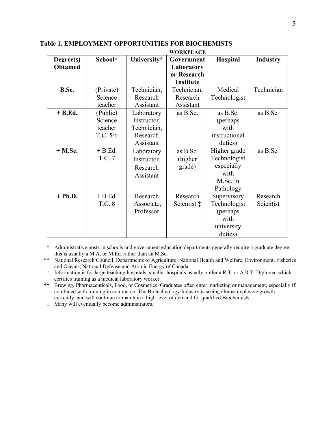|                 | <b>WORKPLACE</b> |             |                      |               |                 |
|-----------------|------------------|-------------|----------------------|---------------|-----------------|
| Degree(s)       | School*          | University* | Government           | Hospital      | <b>Industry</b> |
| <b>Obtained</b> |                  |             | Laboratory           |               |                 |
|                 |                  |             | or Research          |               |                 |
|                 |                  |             | <b>Institute</b>     |               |                 |
| B.Sc.           | (Private)        | Technician, | Technician,          | Medical       | Technician      |
|                 | Science          | Research    | Research             | Technologist  |                 |
|                 | teacher          | Assistant   | Assistant            |               |                 |
| $+B$ .Ed.       | (Public)         | Laboratory  | as B.Sc.             | as B.Sc.      | as B.Sc.        |
|                 | Science          | Instructor, |                      | (perhaps)     |                 |
|                 | teacher          | Technician, |                      | with          |                 |
|                 | T.C. 5/6         | Research    |                      | instructional |                 |
|                 |                  | Assistant   |                      | duties)       |                 |
| $+$ M.Sc.       | $+ B.Ed.$        | Laboratory  | as $B.Sc$ .          | Higher grade  | as B.Sc.        |
|                 | T.C. 7           | Instructor, | (higher)             | Technologist  |                 |
|                 |                  | Research    | grade)               | especially    |                 |
|                 |                  | Assistant   |                      | with          |                 |
|                 |                  |             |                      | M.Sc. in      |                 |
|                 |                  |             |                      | Pathology     |                 |
| $+ Ph.D.$       | $+ B.Ed.$        | Research    | Research             | Supervisory   | Research        |
|                 | T.C. 8           | Associate,  | Scientist $\ddagger$ | Technologist  | Scientist       |
|                 |                  | Professor   |                      | (perhaps)     |                 |
|                 |                  |             |                      | with          |                 |
|                 |                  |             |                      | university    |                 |
|                 |                  |             |                      | duties)       |                 |

**Table 1. EMPLOYMENT OPPORTUNITIES FOR BIOCHEMISTS**

\* Administrative posts in schools and government education departments generally require a graduate degree: this is usually a M.A. or M.Ed. rather than an M.Sc.

\*\* National Research Council, Departments of Agriculture, National Health and Welfare, Environment, Fisheries and Oceans, National Defense and Atomic Energy of Canada.

† Information is for large teaching hospitals; smaller hospitals usually prefer a R.T. or A.R.T. Diploma, which certifies training as a medical laboratory worker.

†† Brewing, Pharmaceuticals, Food, or Cosmetics: Graduates often enter marketing or management, especially if combined with training in commerce. The Biotechnology Industry is seeing almost explosive growth currently, and will continue to maintain a high level of demand for qualified Biochemists.

‡ Many will eventually become administrators.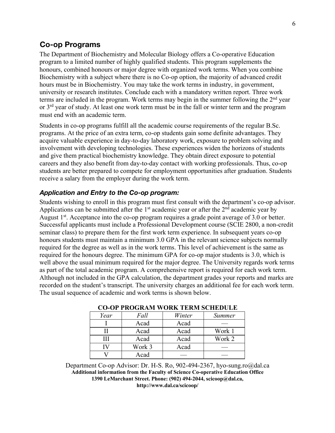## **Co-op Programs**

The Department of Biochemistry and Molecular Biology offers a Co-operative Education program to a limited number of highly qualified students. This program supplements the honours, combined honours or major degree with organized work terms. When you combine Biochemistry with a subject where there is no Co-op option, the majority of advanced credit hours must be in Biochemistry. You may take the work terms in industry, in government, university or research institutes. Conclude each with a mandatory written report. Three work terms are included in the program. Work terms may begin in the summer following the  $2<sup>nd</sup>$  year or 3<sup>rd</sup> year of study. At least one work term must be in the fall or winter term and the program must end with an academic term.

Students in co-op programs fulfill all the academic course requirements of the regular B.Sc. programs. At the price of an extra term, co-op students gain some definite advantages. They acquire valuable experience in day-to-day laboratory work, exposure to problem solving and involvement with developing technologies. These experiences widen the horizons of students and give them practical biochemistry knowledge. They obtain direct exposure to potential careers and they also benefit from day-to-day contact with working professionals. Thus, co-op students are better prepared to compete for employment opportunities after graduation. Students receive a salary from the employer during the work term.

#### *Application and Entry to the Co-op program:*

Students wishing to enroll in this program must first consult with the department's co-op advisor. Applications can be submitted after the  $1<sup>st</sup>$  academic year or after the  $2<sup>nd</sup>$  academic year by August  $1<sup>st</sup>$ . Acceptance into the co-op program requires a grade point average of 3.0 or better. Successful applicants must include a Professional Development course (SCIE 2800, a non-credit seminar class) to prepare them for the first work term experience. In subsequent years co-op honours students must maintain a minimum 3.0 GPA in the relevant science subjects normally required for the degree as well as in the work terms. This level of achievement is the same as required for the honours degree. The minimum GPA for co-op major students is 3.0, which is well above the usual minimum required for the major degree. The University regards work terms as part of the total academic program. A comprehensive report is required for each work term. Although not included in the GPA calculation, the department grades your reports and marks are recorded on the student's transcript. The university charges an additional fee for each work term. The usual sequence of academic and work terms is shown below.

|      |        | CO-OI TROGRAM WORR TERM SCHEDULE |               |
|------|--------|----------------------------------|---------------|
| Year | Fall   | Winter                           | <b>Summer</b> |
|      | Acad   | Acad                             |               |
|      | Acad   | Acad                             | Work 1        |
| Ш    | Acad   | Acad                             | Work 2        |
|      | Work 3 | Acad                             |               |
|      | Acad   |                                  |               |

| <b>CO-OP PROGRAM WORK TERM SCHEDULE</b> |
|-----------------------------------------|
|-----------------------------------------|

Department Co-op Advisor: Dr. H-S. Ro, 902-494-2367, hyo-sung.ro@dal.ca **Additional information from the Faculty of Science Co-operative Education Office 1390 LeMarchant Street. Phone: (902) 494-2044, scicoop@dal.ca, http://www.dal.ca/scicoop/**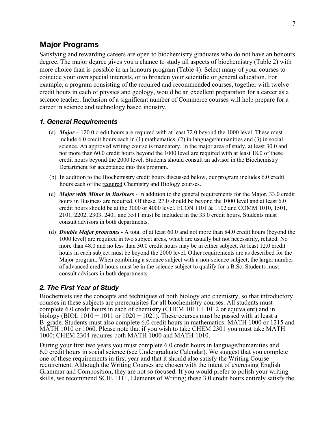## **Major Programs**

Satisfying and rewarding careers are open to biochemistry graduates who do not have an honours degree. The major degree gives you a chance to study all aspects of biochemistry (Table 2) with more choice than is possible in an honours program (Table 4). Select many of your courses to coincide your own special interests, or to broaden your scientific or general education. For example, a program consisting of the required and recommended courses, together with twelve credit hours in each of physics and geology, would be an excellent preparation for a career as a science teacher. Inclusion of a significant number of Commerce courses will help prepare for a career in science and technology based industry.

#### *1. General Requirements*

- (a) *Major* 120.0 credit hours are required with at least 72.0 beyond the 1000 level. These must include 6.0 credit hours each in (1) mathematics, (2) in language/humanities and (3) in social science. An approved writing course is mandatory. In the major area of study, at least 30.0 and not more than 60.0 credit hours beyond the 1000 level are required with at least 18.0 of these credit hours beyond the 2000 level. Students should consult an advisor in the Biochemistry Department for acceptance into this program.
- (b) In addition to the Biochemistry credit hours discussed below, our program includes 6.0 credit hours each of the required Chemistry and Biology courses.
- (c) *Major with Minor in Business* In addition to the general requirements for the Major, 33.0 credit hours in Business are required. Of these, 27.0 should be beyond the 1000 level and at least 6.0 credit hours should be at the 3000 or 4000 level. ECON 1101 & 1102 and COMM 1010, 1501, 2101, 2202, 2303, 2401 and 3511 must be included in the 33.0 credit hours. Students must consult advisors in both departments.
- (d) *Double Major programs* A total of at least 60.0 and not more than 84.0 credit hours (beyond the 1000 level) are required in two subject areas, which are usually but not necessarily, related. No more than 48.0 and no less than 30.0 credit hours may be in either subject. At least 12.0 credit hours in each subject must be beyond the 2000 level. Other requirements are as described for the Major program. When combining a science subject with a non-science subject, the larger number of advanced credit hours must be in the science subject to qualify for a B.Sc. Students must consult advisors in both departments.

#### *2. The First Year of Study*

Biochemists use the concepts and techniques of both biology and chemistry, so that introductory courses in these subjects are prerequisites for all biochemistry courses. All students must complete 6.0 credit hours in each of chemistry (CHEM  $1011 + 1012$  or equivalent) and in biology (BIOL 1010 + 1011 or 1020 + 1021). These courses must be passed with at least a B- grade. Students must also complete 6.0 credit hours in mathematics: MATH 1000 or 1215 and MATH 1010 or 1060. Please note that if you wish to take CHEM 2301 you must take MATH 1000; CHEM 2304 requires both MATH 1000 and MATH 1010.

During your first two years you must complete 6.0 credit hours in language/humanities and 6.0 credit hours in social science (see Undergraduate Calendar). We suggest that you complete one of these requirements in first year and that it should also satisfy the Writing Course requirement. Although the Writing Courses are chosen with the intent of exercising English Grammar and Composition, they are not so focused. If you would prefer to polish your writing skills, we recommend SCIE 1111, Elements of Writing; these 3.0 credit hours entirely satisfy the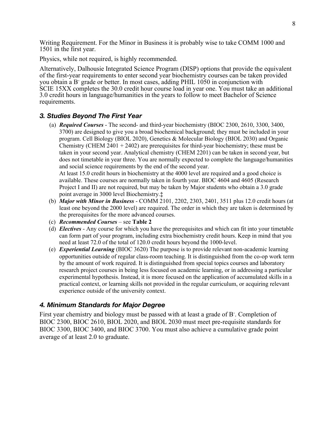Writing Requirement. For the Minor in Business it is probably wise to take COMM 1000 and 1501 in the first year.

Physics, while not required, is highly recommended.

Alternatively, Dalhousie Integrated Science Program (DISP) options that provide the equivalent of the first-year requirements to enter second year biochemistry courses can be taken provided you obtain a B- grade or better. In most cases, adding PHIL 1050 in conjunction with SCIE 15XX completes the 30.0 credit hour course load in year one. You must take an additional 3.0 credit hours in language/humanities in the years to follow to meet Bachelor of Science requirements.

#### *3. Studies Beyond The First Year*

(a) *Required Courses* - The second- and third-year biochemistry (BIOC 2300, 2610, 3300, 3400, 3700) are designed to give you a broad biochemical background; they must be included in your program. Cell Biology (BIOL 2020), Genetics & Molecular Biology (BIOL 2030) and Organic Chemistry (CHEM 2401 + 2402) are prerequisites for third-year biochemistry; these must be taken in your second year. Analytical chemistry (CHEM 2201) can be taken in second year, but does not timetable in year three. You are normally expected to complete the language/humanities and social science requirements by the end of the second year.

At least 15.0 credit hours in biochemistry at the 4000 level are required and a good choice is available. These courses are normally taken in fourth year. BIOC 4604 and 4605 (Research Project I and II) are not required, but may be taken by Major students who obtain a 3.0 grade point average in 3000 level Biochemistry.**‡**

- (b) *Major with Minor in Business* COMM 2101, 2202, 2303, 2401, 3511 plus 12.0 credit hours (at least one beyond the 2000 level) are required. The order in which they are taken is determined by the prerequisites for the more advanced courses.
- (c) *Recommended Courses* see **Table 2**
- (d) *Electives*  Any course for which you have the prerequisites and which can fit into your timetable can form part of your program, including extra biochemistry credit hours. Keep in mind that you need at least 72.0 of the total of 120.0 credit hours beyond the 1000-level.
- (e) *Experiential Learning* (BIOC 3620) The purpose is to provide relevant non-academic learning opportunities outside of regular class-room teaching. It is distinguished from the co-op work term by the amount of work required. It is distinguished from special topics courses and laboratory research project courses in being less focused on academic learning, or in addressing a particular experimental hypothesis. Instead, it is more focused on the application of accumulated skills in a practical context, or learning skills not provided in the regular curriculum, or acquiring relevant experience outside of the university context.

#### *4. Minimum Standards for Major Degree*

First year chemistry and biology must be passed with at least a grade of B<sup>-</sup>. Completion of BIOC 2300, BIOC 2610, BIOL 2020, and BIOL 2030 must meet pre-requisite standards for BIOC 3300, BIOC 3400, and BIOC 3700. You must also achieve a cumulative grade point average of at least 2.0 to graduate.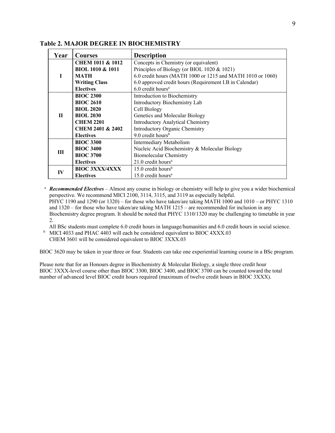| Year         | <b>Courses</b>              | <b>Description</b>                                         |
|--------------|-----------------------------|------------------------------------------------------------|
|              | <b>CHEM 1011 &amp; 1012</b> | Concepts in Chemistry (or equivalent)                      |
|              | <b>BIOL 1010 &amp; 1011</b> | Principles of Biology (or BIOL 1020 & 1021)                |
| I            | MATH                        | 6.0 credit hours (MATH 1000 or 1215 and MATH 1010 or 1060) |
|              | <b>Writing Class</b>        | 6.0 approved credit hours (Requirement I.B in Calendar)    |
|              | <b>Electives</b>            | $6.0$ credit hours <sup>a</sup>                            |
|              | <b>BIOC 2300</b>            | Introduction to Biochemistry                               |
|              | <b>BIOC 2610</b>            | Introductory Biochemistry Lab                              |
|              | <b>BIOL 2020</b>            | Cell Biology                                               |
| $\mathbf{H}$ | <b>BIOL 2030</b>            | Genetics and Molecular Biology                             |
|              | <b>CHEM 2201</b>            | <b>Introductory Analytical Chemistry</b>                   |
|              | <b>CHEM 2401 &amp; 2402</b> | Introductory Organic Chemistry                             |
|              | <b>Electives</b>            | 9.0 credit hours <sup>b</sup>                              |
|              | <b>BIOC 3300</b>            | Intermediary Metabolism                                    |
| Ш            | <b>BIOC 3400</b>            | Nucleic Acid Biochemistry & Molecular Biology              |
|              | <b>BIOC 3700</b>            | <b>Biomolecular Chemistry</b>                              |
|              | <b>Electives</b>            | $21.0$ credit hours <sup>a</sup>                           |
|              | <b>BIOC 3XXX/4XXX</b>       | 15.0 credit hours <sup>b</sup>                             |
| IV           | <b>Electives</b>            | $15.0$ credit hours <sup>a</sup>                           |

**Table 2. MAJOR DEGREE IN BIOCHEMISTRY**

<sup>a</sup> *Recommended Electives* – Almost any course in biology or chemistry will help to give you a wider biochemical perspective. We recommend MICI 2100, 3114, 3115, and 3119 as especially helpful. PHYC 1190 and 1290 (or 1320) – for those who have taken/are taking MATH 1000 and 1010 – or PHYC 1310 and 1320 – for those who have taken/are taking MATH 1215 – are recommended for inclusion in any Biochemistry degree program. It should be noted that PHYC 1310/1320 may be challenging to timetable in year 2.

All BSc students must complete 6.0 credit hours in language/humanities and 6.0 credit hours in social science. <sup>b</sup> MICI 4033 and PHAC 4403 will each be considered equivalent to BIOC 4XXX.03

CHEM 3601 will be considered equivalent to BIOC 3XXX.03

BIOC 3620 may be taken in year three or four. Students can take one experiential learning course in a BSc program.

Please note that for an Honours degree in Biochemistry & Molecular Biology, a single three credit hour BIOC 3XXX-level course other than BIOC 3300, BIOC 3400, and BIOC 3700 can be counted toward the total number of advanced level BIOC credit hours required (maximum of twelve credit hours in BIOC 3XXX).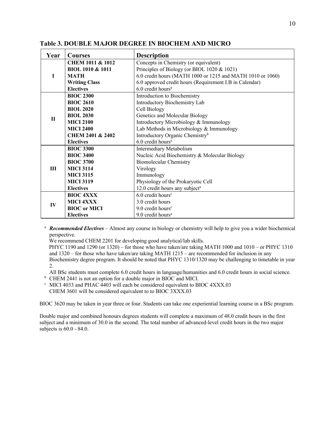| Year         | <b>Courses</b>              | <b>Description</b>                                         |
|--------------|-----------------------------|------------------------------------------------------------|
|              | <b>CHEM 1011 &amp; 1012</b> | Concepts in Chemistry (or equivalent)                      |
|              | <b>BIOL 1010 &amp; 1011</b> | Principles of Biology (or BIOL 1020 & 1021)                |
| Т            | <b>MATH</b>                 | 6.0 credit hours (MATH 1000 or 1215 and MATH 1010 or 1060) |
|              | <b>Writing Class</b>        | 6.0 approved credit hours (Requirement I.B in Calendar)    |
|              | <b>Electives</b>            | 6.0 credit hours <sup>a</sup>                              |
|              | <b>BIOC 2300</b>            | Introduction to Biochemistry                               |
|              | <b>BIOC 2610</b>            | Introductory Biochemistry Lab                              |
|              | <b>BIOL 2020</b>            | Cell Biology                                               |
| $\mathbf{H}$ | <b>BIOL 2030</b>            | Genetics and Molecular Biology                             |
|              | <b>MICI 2100</b>            | Introductory Microbiology & Immunology                     |
|              | <b>MICI 2400</b>            | Lab Methods in Microbiology & Immunology                   |
|              | <b>CHEM 2401 &amp; 2402</b> | Introductory Organic Chemistry <sup>b</sup>                |
|              | <b>Electives</b>            | 6.0 credit hours <sup>a</sup>                              |
|              | <b>BIOC 3300</b>            | Intermediary Metabolism                                    |
|              | <b>BIOC 3400</b>            | Nucleic Acid Biochemistry & Molecular Biology              |
|              | <b>BIOC 3700</b>            | <b>Biomolecular Chemistry</b>                              |
| <b>III</b>   | <b>MICI 3114</b>            | Virology                                                   |
|              | <b>MICI 3115</b>            | Immunology                                                 |
|              | <b>MICI 3119</b>            | Physiology of the Prokaryotic Cell                         |
|              | <b>Electives</b>            | 12.0 credit hours any subject <sup>a</sup>                 |
| IV           | <b>BIOC 4XXX</b>            | 6.0 credit hours <sup>c</sup>                              |
|              | <b>MICI 4XXX</b>            | 3.0 credit hours                                           |
|              | <b>BIOC</b> or MICI         | $9.0$ credit hours <sup>c</sup>                            |
|              | <b>Electives</b>            | 9.0 credit hours <sup>a</sup>                              |

**Table 3. DOUBLE MAJOR DEGREE IN BIOCHEM AND MICRO**

<sup>a</sup> *Recommended Electives* – Almost any course in biology or chemistry will help to give you a wider biochemical perspective.

We recommend CHEM 2201 for developing good analytical/lab skills.

PHYC 1190 and 1290 (or 1320) – for those who have taken/are taking MATH 1000 and 1010 – or PHYC 1310 and 1320 – for those who have taken/are taking MATH 1215 – are recommended for inclusion in any Biochemistry degree program. It should be noted that PHYC 1310/1320 may be challenging to timetable in year 2.

All BSc students must complete 6.0 credit hours in language/humanities and 6.0 credit hours in social science.

<sup>b</sup> CHEM 2441 is not an option for a double major in BIOC and MICI.

<sup>c</sup> MICI 4033 and PHAC 4403 will each be considered equivalent to BIOC 4XXX.03

CHEM 3601 will be considered equivalent to to BIOC 3XXX.03

BIOC 3620 may be taken in year three or four. Students can take one experiential learning course in a BSc program.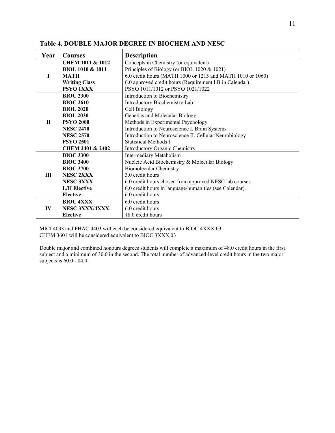| Year         | <b>Courses</b>              | <b>Description</b>                                         |
|--------------|-----------------------------|------------------------------------------------------------|
|              | <b>CHEM 1011 &amp; 1012</b> | Concepts in Chemistry (or equivalent)                      |
|              | <b>BIOL 1010 &amp; 1011</b> | Principles of Biology (or BIOL 1020 & 1021)                |
| I            | <b>MATH</b>                 | 6.0 credit hours (MATH 1000 or 1215 and MATH 1010 or 1060) |
|              | <b>Writing Class</b>        | 6.0 approved credit hours (Requirement I.B in Calendar)    |
|              | PSYO 1XXX                   | PSYO 1011/1012 or PSYO 1021/1022                           |
|              | <b>BIOC 2300</b>            | Introduction to Biochemistry                               |
|              | <b>BIOC 2610</b>            | Introductory Biochemistry Lab                              |
|              | <b>BIOL 2020</b>            | Cell Biology                                               |
|              | <b>BIOL 2030</b>            | Genetics and Molecular Biology                             |
| $\mathbf{H}$ | <b>PSYO 2000</b>            | Methods in Experimental Psychology                         |
|              | <b>NESC 2470</b>            | Introduction to Neuroscience I. Brain Systems              |
|              | <b>NESC 2570</b>            | Introduction to Neuroscience II. Cellular Neurobiology     |
|              | <b>PSYO 2501</b>            | <b>Statistical Methods I</b>                               |
|              | <b>CHEM 2401 &amp; 2402</b> | Introductory Organic Chemistry                             |
|              | <b>BIOC 3300</b>            | Intermediary Metabolism                                    |
|              | <b>BIOC 3400</b>            | Nucleic Acid Biochemistry & Molecular Biology              |
|              | <b>BIOC 3700</b>            | <b>Biomolecular Chemistry</b>                              |
| III          | <b>NESC 2XXX</b>            | 3.0 credit hours                                           |
|              | <b>NESC 3XXX</b>            | 6.0 credit hours chosen from approved NESC lab courses     |
|              | <b>L/H</b> Elective         | 6.0 credit hours in language/humanities (see Calendar).    |
|              | <b>Elective</b>             | 6.0 credit hours                                           |
|              | <b>BIOC 4XXX</b>            | 6.0 credit hours                                           |
| IV           | NESC 3XXX/4XXX              | 6.0 credit hours                                           |
|              | <b>Elective</b>             | 18.0 credit hours                                          |

#### **Table 4. DOUBLE MAJOR DEGREE IN BIOCHEM AND NESC**

MICI 4033 and PHAC 4403 will each be considered equivalent to BIOC 4XXX.03 CHEM 3601 will be considered equivalent to BIOC 3XXX.03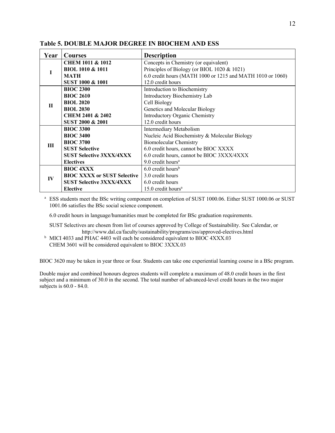| Year        | <b>Courses</b>                     | <b>Description</b>                                         |
|-------------|------------------------------------|------------------------------------------------------------|
|             | CHEM 1011 & 1012                   | Concepts in Chemistry (or equivalent)                      |
|             | <b>BIOL 1010 &amp; 1011</b>        | Principles of Biology (or BIOL 1020 & 1021)                |
|             | <b>MATH</b>                        | 6.0 credit hours (MATH 1000 or 1215 and MATH 1010 or 1060) |
|             | SUST 1000 & 1001                   | 12.0 credit hours                                          |
|             | <b>BIOC 2300</b>                   | Introduction to Biochemistry                               |
|             | <b>BIOC 2610</b>                   | Introductory Biochemistry Lab                              |
| $\mathbf H$ | <b>BIOL 2020</b>                   | Cell Biology                                               |
|             | <b>BIOL 2030</b>                   | Genetics and Molecular Biology                             |
|             | <b>CHEM 2401 &amp; 2402</b>        | <b>Introductory Organic Chemistry</b>                      |
|             | SUST 2000 & 2001                   | 12.0 credit hours                                          |
|             | <b>BIOC 3300</b>                   | Intermediary Metabolism                                    |
|             | <b>BIOC 3400</b>                   | Nucleic Acid Biochemistry & Molecular Biology              |
| III         | <b>BIOC 3700</b>                   | <b>Biomolecular Chemistry</b>                              |
|             | <b>SUST Selective</b>              | 6.0 credit hours, cannot be BIOC XXXX                      |
|             | <b>SUST Selective 3XXX/4XXX</b>    | 6.0 credit hours, cannot be BIOC 3XXX/4XXX                 |
|             | <b>Electives</b>                   | 9.0 credit hours <sup>a</sup>                              |
| $\bf{IV}$   | <b>BIOC 4XXX</b>                   | $6.0$ credit hours <sup>b</sup>                            |
|             | <b>BIOC XXXX or SUST Selective</b> | 3.0 credit hours                                           |
|             | <b>SUST Selective 3XXX/4XXX</b>    | 6.0 credit hours                                           |
|             | <b>Elective</b>                    | $15.0$ credit hours <sup>a</sup>                           |

**Table 5. DOUBLE MAJOR DEGREE IN BIOCHEM AND ESS**

<sup>a</sup> ESS students meet the BSc writing component on completion of SUST 1000.06. Either SUST 1000.06 or SUST 1001.06 satisfies the BSc social science component.

6.0 credit hours in language/humanities must be completed for BSc graduation requirements.

SUST Selectives are chosen from list of courses approved by College of Sustainability. See Calendar, or http://www.dal.ca/faculty/sustainability/programs/ess/approved-electives.html

<sup>b</sup> MICI 4033 and PHAC 4403 will each be considered equivalent to BIOC 4XXX.03 CHEM 3601 will be considered equivalent to BIOC 3XXX.03

BIOC 3620 may be taken in year three or four. Students can take one experiential learning course in a BSc program.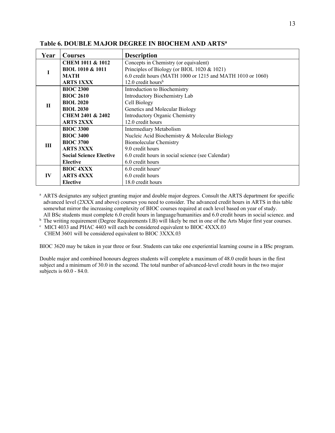| Year        | <b>Courses</b>                 | <b>Description</b>                                         |
|-------------|--------------------------------|------------------------------------------------------------|
|             | <b>CHEM 1011 &amp; 1012</b>    | Concepts in Chemistry (or equivalent)                      |
| I           | <b>BIOL 1010 &amp; 1011</b>    | Principles of Biology (or BIOL 1020 & 1021)                |
|             | <b>MATH</b>                    | 6.0 credit hours (MATH 1000 or 1215 and MATH 1010 or 1060) |
|             | <b>ARTS 1XXX</b>               | $12.0$ credit hours <sup>b</sup>                           |
|             | <b>BIOC 2300</b>               | Introduction to Biochemistry                               |
|             | <b>BIOC 2610</b>               | Introductory Biochemistry Lab                              |
| $\mathbf H$ | <b>BIOL 2020</b>               | Cell Biology                                               |
|             | <b>BIOL 2030</b>               | Genetics and Molecular Biology                             |
|             | <b>CHEM 2401 &amp; 2402</b>    | Introductory Organic Chemistry                             |
|             | <b>ARTS 2XXX</b>               | 12.0 credit hours                                          |
|             | <b>BIOC 3300</b>               | Intermediary Metabolism                                    |
|             | <b>BIOC 3400</b>               | Nucleic Acid Biochemistry & Molecular Biology              |
| III         | <b>BIOC 3700</b>               | <b>Biomolecular Chemistry</b>                              |
|             | <b>ARTS 3XXX</b>               | 9.0 credit hours                                           |
|             | <b>Social Science Elective</b> | 6.0 credit hours in social science (see Calendar)          |
|             | <b>Elective</b>                | 6.0 credit hours                                           |
|             | <b>BIOC 4XXX</b>               | $6.0$ credit hours <sup>c</sup>                            |
| IV          | <b>ARTS 4XXX</b>               | 6.0 credit hours                                           |
|             | <b>Elective</b>                | 18.0 credit hours                                          |

#### **Table 6. DOUBLE MAJOR DEGREE IN BIOCHEM AND ARTSa**

<sup>a</sup> ARTS designates any subject granting major and double major degrees. Consult the ARTS department for specific advanced level (2XXX and above) courses you need to consider. The advanced credit hours in ARTS in this table somewhat mirror the increasing complexity of BIOC courses required at each level based on year of study. All BSc students must complete 6.0 credit hours in language/humanities and 6.0 credit hours in social science. and

<sup>b</sup> The writing requirement (Degree Requirements I.B) will likely be met in one of the Arts Major first year courses.

<sup>c</sup> MICI 4033 and PHAC 4403 will each be considered equivalent to BIOC 4XXX.03

CHEM 3601 will be considered equivalent to BIOC 3XXX.03

BIOC 3620 may be taken in year three or four. Students can take one experiential learning course in a BSc program.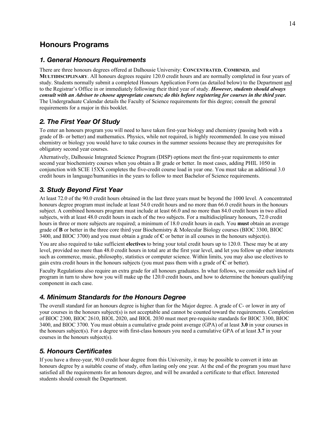## **Honours Programs**

#### *1. General Honours Requirements*

There are three honours degrees offered at Dalhousie University: **CONCENTRATED**, **COMBINED**, and **MULTIDISCIPLINARY**. All honours degrees require 120.0 credit hours and are normally completed in four years of study. Students normally submit a completed Honours Application Form (as detailed below) to the Department and to the Registrar's Office in or immediately following their third year of study. *However, students should always consult with an Advisor to choose appropriate courses; do this before registering for courses in the third year.* The Undergraduate Calendar details the Faculty of Science requirements for this degree; consult the general requirements for a major in this booklet.

## *2. The First Year Of Study*

To enter an honours program you will need to have taken first-year biology and chemistry (passing both with a grade of B- or better) and mathematics. Physics, while not required, is highly recommended. In case you missed chemistry or biology you would have to take courses in the summer sessions because they are prerequisites for obligatory second year courses.

Alternatively, Dalhousie Integrated Science Program (DISP) options meet the first-year requirements to enter second year biochemistry courses when you obtain a B<sup>-</sup> grade or better. In most cases, adding PHIL 1050 in conjunction with SCIE 15XX completes the five-credit course load in year one. You must take an additional 3.0 credit hours in language/humanities in the years to follow to meet Bachelor of Science requirements.

## *3. Study Beyond First Year*

At least 72.0 of the 90.0 credit hours obtained in the last three years must be beyond the 1000 level. A concentrated honours degree program must include at least 54.0 credit hours and no more than 66.0 credit hours in the honours subject. A combined honours program must include at least 66.0 and no more than 84.0 credit hours in two allied subjects, with at least 48.0 credit hours in each of the two subjects. For a multidisciplinary honours, 72.0 credit hours in three or more subjects are required; a minimum of 18.0 credit hours in each. You **must** obtain an average grade of **B** or better in the three core third year Biochemistry & Molecular Biology courses (BIOC 3300, BIOC 3400, and BIOC 3700) and you must obtain a grade of **C** or better in all courses in the honours subject(s).

You are also required to take sufficient **electives** to bring your total credit hours up to 120.0. These may be at any level, provided no more than 48.0 credit hours in total are at the first year level, and let you follow up other interests such as commerce, music, philosophy, statistics or computer science. Within limits, you may also use electives to gain extra credit hours in the honours subjects (you must pass them with a grade of **C** or better).

Faculty Regulations also require an extra grade for all honours graduates. In what follows, we consider each kind of program in turn to show how you will make up the 120.0 credit hours, and how to determine the honours qualifying component in each case.

#### *4. Minimum Standards for the Honours Degree*

The overall standard for an honours degree is higher than for the Major degree. A grade of C- or lower in any of your courses in the honours subject(s) is not acceptable and cannot be counted toward the requirements. Completion of BIOC 2300, BIOC 2610, BIOL 2020, and BIOL 2030 must meet pre-requisite standards for BIOC 3300, BIOC 3400, and BIOC 3700. You must obtain a cumulative grade point average (GPA) of at least **3.0** in your courses in the honours subject(s). For a degree with first-class honours you need a cumulative GPA of at least **3.7** in your courses in the honours subject(s).

## *5. Honours Certificates*

If you have a three-year, 90.0 credit hour degree from this University, it may be possible to convert it into an honours degree by a suitable course of study, often lasting only one year. At the end of the program you must have satisfied all the requirements for an honours degree, and will be awarded a certificate to that effect. Interested students should consult the Department.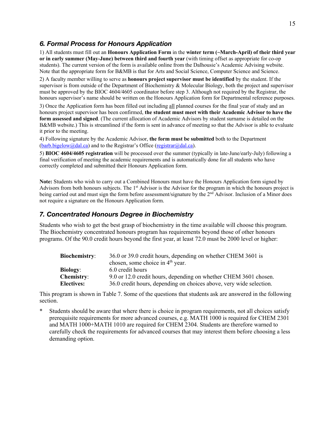#### *6. Formal Process for Honours Application*

1) All students must fill out an **Honours Application Form** in the **winter term (~March-April) of their third year or in early summer (May-June) between third and fourth year** (with timing offset as appropriate for co-op students). The current version of the form is available online from the Dalhousie's Academic Advising website. Note that the appropriate form for B&MB is that for Arts and Social Science, Computer Science and Science.

2) A faculty member willing to serve as **honours project supervisor must be identified** by the student. If the supervisor is from outside of the Department of Biochemistry & Molecular Biology, both the project and supervisor must be approved by the BIOC 4604/4605 coordinator before step 3. Although not required by the Registrar, the honours supervisor's name should be written on the Honours Application form for Departmental reference purposes.

3) Once the Application form has been filled out including all planned courses for the final year of study and an honours project supervisor has been confirmed, **the student must meet with their Academic Advisor to have the form assessed and signed**. (The current allocation of Academic Advisors by student surname is detailed on the B&MB website.) This is streamlined if the form is sent in advance of meeting so that the Advisor is able to evaluate it prior to the meeting.

4) Following signature by the Academic Advisor, **the form must be submitted** both to the Department  $(barb.bigelow@dal.ca)$  and to the Registrar's Office (registrar@dal.ca).

5) **BIOC 4604/4605 registration** will be processed over the summer (typically in late-June/early-July) following a final verification of meeting the academic requirements and is automatically done for all students who have correctly completed and submitted their Honours Application form.

**Note:** Students who wish to carry out a Combined Honours must have the Honours Application form signed by Advisors from both honours subjects. The 1<sup>st</sup> Advisor is the Advisor for the program in which the honours project is being carried out and must sign the form before assessment/signature by the 2<sup>nd</sup> Advisor. Inclusion of a Minor does not require a signature on the Honours Application form.

#### *7. Concentrated Honours Degree in Biochemistry*

Students who wish to get the best grasp of biochemistry in the time available will choose this program. The Biochemistry concentrated honours program has requirements beyond those of other honours programs. Of the 90.0 credit hours beyond the first year, at least 72.0 must be 2000 level or higher:

| <b>Biochemistry:</b> | 36.0 or 39.0 credit hours, depending on whether CHEM 3601 is        |  |  |
|----------------------|---------------------------------------------------------------------|--|--|
|                      | chosen, some choice in $4th$ year.                                  |  |  |
| <b>Biology:</b>      | 6.0 credit hours                                                    |  |  |
| <b>Chemistry:</b>    | 9.0 or 12.0 credit hours, depending on whether CHEM 3601 chosen.    |  |  |
| <b>Electives:</b>    | 36.0 credit hours, depending on choices above, very wide selection. |  |  |

This program is shown in Table 7. Some of the questions that students ask are answered in the following section.

Students should be aware that where there is choice in program requirements, not all choices satisfy prerequisite requirements for more advanced courses, e.g. MATH 1000 is required for CHEM 2301 and MATH 1000+MATH 1010 are required for CHEM 2304. Students are therefore warned to carefully check the requirements for advanced courses that may interest them before choosing a less demanding option.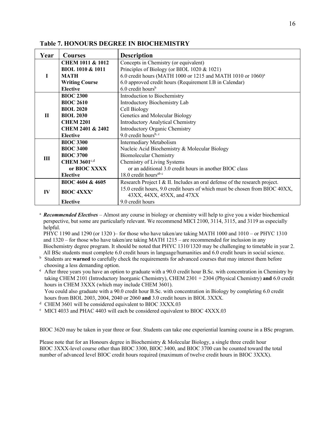| Year         | <b>Courses</b>               | <b>Description</b>                                                                                        |  |  |
|--------------|------------------------------|-----------------------------------------------------------------------------------------------------------|--|--|
|              | <b>CHEM 1011 &amp; 1012</b>  | Concepts in Chemistry (or equivalent)                                                                     |  |  |
|              | <b>BIOL 1010 &amp; 1011</b>  | Principles of Biology (or BIOL 1020 & 1021)                                                               |  |  |
| I            | <b>MATH</b>                  | 6.0 credit hours (MATH 1000 or 1215 and MATH 1010 or 1060) <sup>a</sup>                                   |  |  |
|              | <b>Writing Course</b>        | 6.0 approved credit hours (Requirement I.B in Calendar)                                                   |  |  |
|              | <b>Elective</b>              | $6.0$ credit hours <sup>b</sup>                                                                           |  |  |
|              | <b>BIOC 2300</b>             | Introduction to Biochemistry                                                                              |  |  |
|              | <b>BIOC 2610</b>             | Introductory Biochemistry Lab                                                                             |  |  |
|              | <b>BIOL 2020</b>             | Cell Biology                                                                                              |  |  |
| $\mathbf{H}$ | <b>BIOL 2030</b>             | Genetics and Molecular Biology                                                                            |  |  |
|              | <b>CHEM 2201</b>             | <b>Introductory Analytical Chemistry</b>                                                                  |  |  |
|              | <b>CHEM 2401 &amp; 2402</b>  | <b>Introductory Organic Chemistry</b>                                                                     |  |  |
|              | <b>Elective</b>              | 9.0 credit hours <sup>b, c</sup>                                                                          |  |  |
|              | <b>BIOC 3300</b>             | Intermediary Metabolism                                                                                   |  |  |
|              | <b>BIOC 3400</b>             | Nucleic Acid Biochemistry & Molecular Biology                                                             |  |  |
| III          | <b>BIOC 3700</b>             | <b>Biomolecular Chemistry</b>                                                                             |  |  |
|              | <b>CHEM 3601</b> c,d         | Chemistry of Living Systems                                                                               |  |  |
|              | or BIOC XXXX                 | or an additional 3.0 credit hours in another BIOC class                                                   |  |  |
|              | <b>Elective</b>              | 18.0 credit hours <sup>ab c</sup>                                                                         |  |  |
| IV           | BIOC 4604 & 4605             | Research Project I & II. Includes an oral defense of the research project.                                |  |  |
|              | <b>BIOC 4XXX<sup>e</sup></b> | 15.0 credit hours, 9.0 credit hours of which must be chosen from BIOC 40XX,<br>43XX, 44XX, 45XX, and 47XX |  |  |
|              | <b>Elective</b>              | 9.0 credit hours                                                                                          |  |  |

#### **Table 7. HONOURS DEGREE IN BIOCHEMISTRY**

<sup>a</sup> *Recommended Electives* – Almost any course in biology or chemistry will help to give you a wider biochemical perspective, but some are particularly relevant. We recommend MICI 2100, 3114, 3115, and 3119 as especially helpful.

PHYC 1190 and 1290 (or 1320 )– for those who have taken/are taking MATH 1000 and 1010 – or PHYC 1310 and 1320 – for those who have taken/are taking MATH 1215 – are recommended for inclusion in any Biochemistry degree program. It should be noted that PHYC 1310/1320 may be challenging to timetable in year 2. All BSc students must complete 6.0 credit hours in language/humanities and 6.0 credit hours in social science.

<sup>b</sup> Students are warned to carefully check the requirements for advanced courses that may interest them before choosing a less demanding option.

**<sup>c</sup>** After three years you have an option to graduate with a 90.0 credit hour B.Sc. with concentration in Chemistry by taking CHEM 2101 (Introductory Inorganic Chemistry), CHEM 2301 + 2304 (Physical Chemistry) **and** 6.0 credit hours in CHEM 3XXX (which may include CHEM 3601).

You could also graduate with a 90.0 credit hour B.Sc. with concentration in Biology by completing 6.0 credit hours from BIOL 2003, 2004, 2040 or 2060 **and** 3.0 credit hours in BIOL 3XXX.

<sup>d</sup> CHEM 3601 will be considered equivalent to BIOC 3XXX.03

<sup>e</sup> MICI 4033 and PHAC 4403 will each be considered equivalent to BIOC 4XXX.03

BIOC 3620 may be taken in year three or four. Students can take one experiential learning course in a BSc program.

Please note that for an Honours degree in Biochemistry & Molecular Biology, a single three credit hour BIOC 3XXX-level course other than BIOC 3300, BIOC 3400, and BIOC 3700 can be counted toward the total number of advanced level BIOC credit hours required (maximum of twelve credit hours in BIOC 3XXX).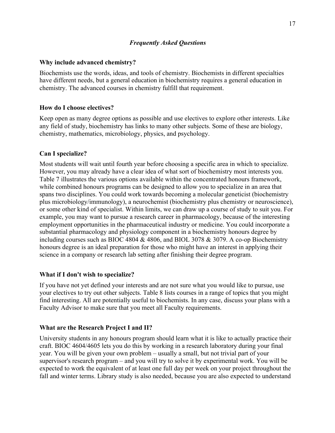#### *Frequently Asked Questions*

#### **Why include advanced chemistry?**

Biochemists use the words, ideas, and tools of chemistry. Biochemists in different specialties have different needs, but a general education in biochemistry requires a general education in chemistry. The advanced courses in chemistry fulfill that requirement.

#### **How do I choose electives?**

Keep open as many degree options as possible and use electives to explore other interests. Like any field of study, biochemistry has links to many other subjects. Some of these are biology, chemistry, mathematics, microbiology, physics, and psychology.

#### **Can I specialize?**

Most students will wait until fourth year before choosing a specific area in which to specialize. However, you may already have a clear idea of what sort of biochemistry most interests you. Table 7 illustrates the various options available within the concentrated honours framework, while combined honours programs can be designed to allow you to specialize in an area that spans two disciplines. You could work towards becoming a molecular geneticist (biochemistry plus microbiology/immunology), a neurochemist (biochemistry plus chemistry or neuroscience), or some other kind of specialist. Within limits, we can draw up a course of study to suit you. For example, you may want to pursue a research career in pharmacology, because of the interesting employment opportunities in the pharmaceutical industry or medicine. You could incorporate a substantial pharmacology and physiology component in a biochemistry honours degree by including courses such as BIOC 4804 & 4806, and BIOL 3078 & 3079. A co-op Biochemistry honours degree is an ideal preparation for those who might have an interest in applying their science in a company or research lab setting after finishing their degree program.

#### **What if I don't wish to specialize?**

If you have not yet defined your interests and are not sure what you would like to pursue, use your electives to try out other subjects. Table 8 lists courses in a range of topics that you might find interesting. All are potentially useful to biochemists. In any case, discuss your plans with a Faculty Advisor to make sure that you meet all Faculty requirements.

#### **What are the Research Project I and II?**

University students in any honours program should learn what it is like to actually practice their craft. BIOC 4604/4605 lets you do this by working in a research laboratory during your final year. You will be given your own problem – usually a small, but not trivial part of your supervisor's research program – and you will try to solve it by experimental work. You will be expected to work the equivalent of at least one full day per week on your project throughout the fall and winter terms. Library study is also needed, because you are also expected to understand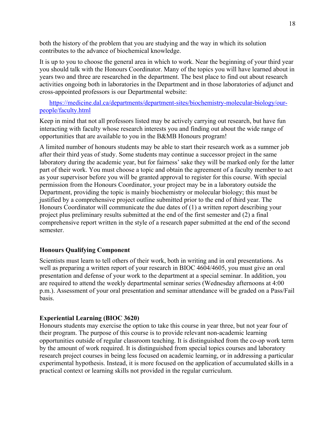both the history of the problem that you are studying and the way in which its solution contributes to the advance of biochemical knowledge.

It is up to you to choose the general area in which to work. Near the beginning of your third year you should talk with the Honours Coordinator. Many of the topics you will have learned about in years two and three are researched in the department. The best place to find out about research activities ongoing both in laboratories in the Department and in those laboratories of adjunct and cross-appointed professors is our Departmental website:

https://medicine.dal.ca/departments/department-sites/biochemistry-molecular-biology/ourpeople/faculty.html

Keep in mind that not all professors listed may be actively carrying out research, but have fun interacting with faculty whose research interests you and finding out about the wide range of opportunities that are available to you in the B&MB Honours program!

A limited number of honours students may be able to start their research work as a summer job after their third yeas of study. Some students may continue a successor project in the same laboratory during the academic year, but for fairness' sake they will be marked only for the latter part of their work. You must choose a topic and obtain the agreement of a faculty member to act as your supervisor before you will be granted approval to register for this course. With special permission from the Honours Coordinator, your project may be in a laboratory outside the Department, providing the topic is mainly biochemistry or molecular biology; this must be justified by a comprehensive project outline submitted prior to the end of third year. The Honours Coordinator will communicate the due dates of (1) a written report describing your project plus preliminary results submitted at the end of the first semester and (2) a final comprehensive report written in the style of a research paper submitted at the end of the second semester.

#### **Honours Qualifying Component**

Scientists must learn to tell others of their work, both in writing and in oral presentations. As well as preparing a written report of your research in BIOC 4604/4605, you must give an oral presentation and defense of your work to the department at a special seminar. In addition, you are required to attend the weekly departmental seminar series (Wednesday afternoons at 4:00 p.m.). Assessment of your oral presentation and seminar attendance will be graded on a Pass/Fail basis.

#### **Experiential Learning (BIOC 3620)**

Honours students may exercise the option to take this course in year three, but not year four of their program. The purpose of this course is to provide relevant non-academic learning opportunities outside of regular classroom teaching. It is distinguished from the co-op work term by the amount of work required. It is distinguished from special topics courses and laboratory research project courses in being less focused on academic learning, or in addressing a particular experimental hypothesis. Instead, it is more focused on the application of accumulated skills in a practical context or learning skills not provided in the regular curriculum.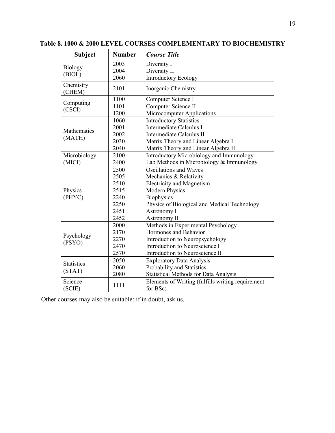| <b>Subject</b>       | <b>Number</b> | <b>Course Title</b>                                           |
|----------------------|---------------|---------------------------------------------------------------|
|                      | 2003          | Diversity I                                                   |
| <b>Biology</b>       | 2004          | Diversity II                                                  |
| (BIOL)               | 2060          | <b>Introductory Ecology</b>                                   |
| Chemistry<br>(CHEM)  | 2101          | Inorganic Chemistry                                           |
| Computing            | 1100          | Computer Science I                                            |
| (CSCI)               | 1101          | Computer Science II                                           |
|                      | 1200          | Microcomputer Applications                                    |
|                      | 1060          | <b>Introductory Statistics</b>                                |
| Mathematics          | 2001          | Intermediate Calculus I                                       |
| (MATH)               | 2002          | Intermediate Calculus II                                      |
|                      | 2030          | Matrix Theory and Linear Algebra I                            |
|                      | 2040          | Matrix Theory and Linear Algebra II                           |
| Microbiology         | 2100          | Introductory Microbiology and Immunology                      |
| (MICI)               | 2400          | Lab Methods in Microbiology & Immunology                      |
|                      | 2500          | Oscillations and Waves                                        |
|                      | 2505          | Mechanics & Relativity                                        |
|                      | 2510          | <b>Electricity and Magnetism</b>                              |
| Physics              | 2515          | <b>Modern Physics</b>                                         |
| (PHYC)               | 2240          | <b>Biophysics</b>                                             |
|                      | 2250          | Physics of Biological and Medical Technology                  |
|                      | 2451          | Astronomy I                                                   |
|                      | 2452          | Astronomy II                                                  |
|                      | 2000          | Methods in Experimental Psychology                            |
| Psychology<br>(PSYO) | 2170          | Hormones and Behavior                                         |
|                      | 2270          | Introduction to Neuropsychology                               |
|                      | 2470          | Introduction to Neuroscience I                                |
|                      | 2570          | Introduction to Neuroscience II                               |
| <b>Statistics</b>    | 2050          | <b>Exploratory Data Analysis</b>                              |
|                      | 2060          | Probability and Statistics                                    |
| (STAT)               | 2080          | <b>Statistical Methods for Data Analysis</b>                  |
| Science<br>(SCIE)    | 1111          | Elements of Writing (fulfills writing requirement<br>for BSc) |

**Table 8. 1000 & 2000 LEVEL COURSES COMPLEMENTARY TO BIOCHEMISTRY**

Other courses may also be suitable: if in doubt, ask us.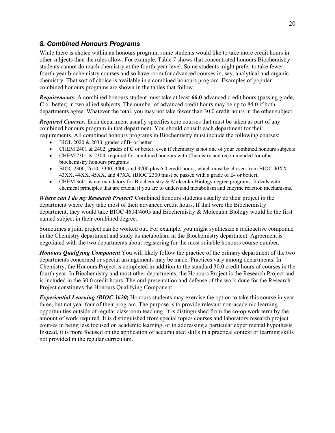#### *8. Combined Honours Programs*

While there is choice within an honours program, some students would like to take more credit hours in other subjects than the rules allow. For example, Table 7 shows that concentrated honours Biochemistry students cannot do much chemistry at the fourth-year level. Some students might prefer to take fewer fourth-year biochemistry courses and so have room for advanced courses in, say, analytical and organic chemistry. That sort of choice is available in a combined honours program. Examples of popular combined honours programs are shown in the tables that follow.

*Requirements***:** A combined honours student must take at least **66.0** advanced credit hours (passing grade, **C** or better) in two allied subjects. The number of advanced credit hours may be up to 84.0 if both departments agree. Whatever the total, you may not take fewer than 30.0 credit hours in the other subject.

*Required Courses:* Each department usually specifies core courses that must be taken as part of any combined honours program in that department. You should consult each department for their requirements. All combined honours programs in Biochemistry must include the following courses:

- BIOL 2020 & 2030: grades of **B-** or better
- CHEM 2401 & 2402: grades of **C** or better, even if chemistry is not one of your combined honours subjects
- CHEM 2301 & 2304: required for combined honours with Chemistry and recommended for other biochemistry honours programs
- BIOC 2300, 2610, 3300, 3400, and 3700 plus 6.0 credit hours, which must be chosen from BIOC 40XX, 43XX, 44XX, 45XX, and 47XX. (BIOC 2300 must be passed with a grade of B- or better**).**
- CHEM 3601 is not mandatory for Biochemistry & Molecular Biology degree programs. It deals with chemical principles that are crucial if you are to understand metabolism and enzyme reaction mechanisms.

*Where can I do my Research Project?* Combined honours students usually do their project in the department where they take most of their advanced credit hours. If that were the Biochemistry department, they would take BIOC 4604/4605 and Biochemistry & Molecular Biology would be the first named subject in their combined degree.

Sometimes a joint project can be worked out. For example, you might synthesize a radioactive compound in the Chemistry department and study its metabolism in the Biochemistry department. Agreement is negotiated with the two departments about registering for the most suitable honours course number.

*Honours Qualifying Component* You will likely follow the practice of the primary department of the two departments concerned or special arrangements may be made. Practices vary among departments. In Chemistry, the Honours Project is completed in addition to the standard 30.0 credit hours of courses in the fourth year. In Biochemistry and most other departments, the Honours Project is the Research Project and is included in the 30.0 credit hours. The oral presentation and defense of the work done for the Research Project constitutes the Honours Qualifying Component.

*Experiential Learning (BIOC 3620***)** Honours students may exercise the option to take this course in year three, but not year four of their program. The purpose is to provide relevant non-academic learning opportunities outside of regular classroom teaching. It is distinguished from the co-op work term by the amount of work required. It is distinguished from special topics courses and laboratory research project courses in being less focused on academic learning, or in addressing a particular experimental hypothesis. Instead, it is more focused on the application of accumulated skills in a practical context or learning skills not provided in the regular curriculum.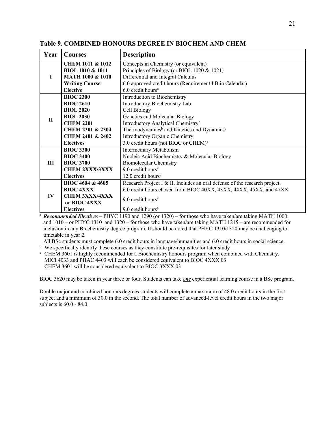| Year         | <b>Courses</b>                          | <b>Description</b>                                                                                                                                |
|--------------|-----------------------------------------|---------------------------------------------------------------------------------------------------------------------------------------------------|
|              | <b>CHEM 1011 &amp; 1012</b>             | Concepts in Chemistry (or equivalent)                                                                                                             |
|              | <b>BIOL 1010 &amp; 1011</b>             | Principles of Biology (or BIOL 1020 & 1021)                                                                                                       |
| L            | <b>MATH 1000 &amp; 1010</b>             | Differential and Integral Calculus                                                                                                                |
|              | <b>Writing Course</b>                   | 6.0 approved credit hours (Requirement I.B in Calendar)                                                                                           |
|              | <b>Elective</b>                         | 6.0 credit hours <sup>a</sup>                                                                                                                     |
|              | <b>BIOC 2300</b>                        | Introduction to Biochemistry                                                                                                                      |
|              | <b>BIOC 2610</b>                        | Introductory Biochemistry Lab                                                                                                                     |
|              | <b>BIOL 2020</b>                        | Cell Biology                                                                                                                                      |
| $\mathbf{H}$ | <b>BIOL 2030</b>                        | Genetics and Molecular Biology                                                                                                                    |
|              | <b>CHEM 2201</b>                        | Introductory Analytical Chemistry <sup>b</sup>                                                                                                    |
|              | <b>CHEM 2301 &amp; 2304</b>             | Thermodynamics <sup>b</sup> and Kinetics and Dynamics <sup>b</sup>                                                                                |
|              | <b>CHEM 2401 &amp; 2402</b>             | <b>Introductory Organic Chemistry</b>                                                                                                             |
|              | <b>Electives</b>                        | 3.0 credit hours (not BIOC or CHEM) <sup>a</sup>                                                                                                  |
|              | <b>BIOC 3300</b>                        | Intermediary Metabolism                                                                                                                           |
|              | <b>BIOC 3400</b>                        | Nucleic Acid Biochemistry & Molecular Biology                                                                                                     |
| Ш            | <b>BIOC 3700</b>                        | <b>Biomolecular Chemistry</b>                                                                                                                     |
|              | <b>CHEM 2XXX/3XXX</b>                   | $9.0$ credit hours <sup>c</sup>                                                                                                                   |
|              | <b>Electives</b>                        | 12.0 credit hours <sup>a</sup>                                                                                                                    |
|              | BIOC 4604 & 4605                        | Research Project I & II. Includes an oral defense of the research project.                                                                        |
|              | <b>BIOC 4XXX</b>                        | 6.0 credit hours chosen from BIOC 40XX, 43XX, 44XX, 45XX, and 47XX                                                                                |
| $\bf{IV}$    | <b>CHEM 3XXX/4XXX</b>                   |                                                                                                                                                   |
|              | or BIOC 4XXX                            | $9.0$ credit hours <sup>c</sup>                                                                                                                   |
| $2 \sqrt{2}$ | <b>Electives</b><br>$1 \cdot 1 \cdot 1$ | 9.0 credit hours <sup>a</sup><br>$1 \t1 \t1 \t1 \t1 \t1 \t1 \t1$<br>$\mathbf{N}\mathbf{I}\mathbf{X}\mathbf{Z}$ (1100 $(1000)(1000)$ $(1000)(100)$ |

**Table 9. COMBINED HONOURS DEGREE IN BIOCHEM AND CHEM**

<sup>a</sup> *Recommended Electives* – PHYC 1190 and 1290 (or 1320) – for those who have taken/are taking MATH 1000 and 1010 – or PHYC 1310 and 1320 – for those who have taken/are taking MATH 1215 – are recommended for inclusion in any Biochemistry degree program. It should be noted that PHYC 1310/1320 may be challenging to timetable in year 2.

All BSc students must complete 6.0 credit hours in language/humanities and 6.0 credit hours in social science.

<sup>b</sup> We specifically identify these courses as they constitute pre-requisites for later study

 $\epsilon$  CHEM 3601 is highly recommended for a Biochemistry honours program when combined with Chemistry. MICI 4033 and PHAC 4403 will each be considered equivalent to BIOC 4XXX.03 CHEM 3601 will be considered equivalent to BIOC 3XXX.03

BIOC 3620 may be taken in year three or four. Students can take *one* experiential learning course in a BSc program.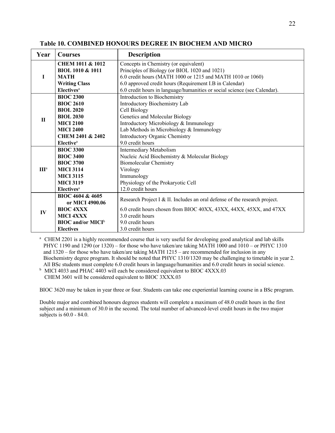| Year             | <b>Courses</b>                       | <b>Description</b>                                                         |
|------------------|--------------------------------------|----------------------------------------------------------------------------|
|                  | <b>CHEM 1011 &amp; 1012</b>          | Concepts in Chemistry (or equivalent)                                      |
|                  | <b>BIOL 1010 &amp; 1011</b>          | Principles of Biology (or BIOL 1020 and 1021)                              |
| L                | <b>MATH</b>                          | 6.0 credit hours (MATH 1000 or 1215 and MATH 1010 or 1060)                 |
|                  | <b>Writing Class</b>                 | 6.0 approved credit hours (Requirement I.B in Calendar)                    |
|                  | <b>Electives</b> <sup>a</sup>        | 6.0 credit hours in language/humanities or social science (see Calendar).  |
|                  | <b>BIOC 2300</b>                     | Introduction to Biochemistry                                               |
|                  | <b>BIOC 2610</b>                     | Introductory Biochemistry Lab                                              |
|                  | <b>BIOL 2020</b>                     | Cell Biology                                                               |
| $\mathbf{I}$     | <b>BIOL 2030</b>                     | Genetics and Molecular Biology                                             |
|                  | <b>MICI 2100</b>                     | Introductory Microbiology & Immunology                                     |
|                  | <b>MICI 2400</b>                     | Lab Methods in Microbiology & Immunology                                   |
|                  | <b>CHEM 2401 &amp; 2402</b>          | Introductory Organic Chemistry                                             |
|                  | <b>Elective</b> <sup>a</sup>         | 9.0 credit hours                                                           |
|                  | <b>BIOC 3300</b>                     | Intermediary Metabolism                                                    |
|                  | <b>BIOC 3400</b>                     | Nucleic Acid Biochemistry & Molecular Biology                              |
|                  | <b>BIOC 3700</b>                     | <b>Biomolecular Chemistry</b>                                              |
| III <sup>a</sup> | <b>MICI 3114</b>                     | Virology                                                                   |
|                  | <b>MICI 3115</b>                     | Immunology                                                                 |
|                  | <b>MICI 3119</b>                     | Physiology of the Prokaryotic Cell                                         |
|                  | <b>Electives</b> <sup>a</sup>        | 12.0 credit hours                                                          |
|                  | BIOC 4604 & 4605                     | Research Project I & II. Includes an oral defense of the research project. |
|                  | or MICI 4900.06                      |                                                                            |
| IV               | <b>BIOC 4XXX</b>                     | 6.0 credit hours chosen from BIOC 40XX, 43XX, 44XX, 45XX, and 47XX         |
|                  | <b>MICI 4XXX</b>                     | 3.0 credit hours                                                           |
|                  | <b>BIOC</b> and/or MICI <sup>b</sup> | 9.0 credit hours                                                           |
|                  | <b>Electives</b>                     | 3.0 credit hours                                                           |

#### **Table 10. COMBINED HONOURS DEGREE IN BIOCHEM AND MICRO**

<sup>a</sup> CHEM 2201 is a highly recommended course that is very useful for developing good analytical and lab skills PHYC 1190 and 1290 (or 1320) – for those who have taken/are taking MATH 1000 and 1010 – or PHYC 1310 and 1320 – for those who have taken/are taking MATH 1215 – are recommended for inclusion in any Biochemistry degree program. It should be noted that PHYC 1310/1320 may be challenging to timetable in year 2. All BSc students must complete 6.0 credit hours in language/humanities and 6.0 credit hours in social science.

<sup>b</sup> MICI 4033 and PHAC 4403 will each be considered equivalent to BIOC 4XXX.03 CHEM 3601 will be considered equivalent to BIOC 3XXX.03

BIOC 3620 may be taken in year three or four. Students can take one experiential learning course in a BSc program.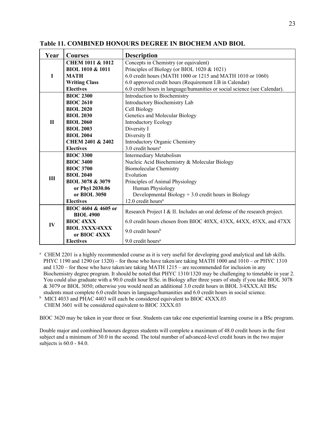| Year         | <b>Courses</b>                        | <b>Description</b>                                                         |
|--------------|---------------------------------------|----------------------------------------------------------------------------|
|              | <b>CHEM 1011 &amp; 1012</b>           | Concepts in Chemistry (or equivalent)                                      |
|              | <b>BIOL 1010 &amp; 1011</b>           | Principles of Biology (or BIOL 1020 & 1021)                                |
| I            | <b>MATH</b>                           | 6.0 credit hours (MATH 1000 or 1215 and MATH 1010 or 1060)                 |
|              | <b>Writing Class</b>                  | 6.0 approved credit hours (Requirement I.B in Calendar)                    |
|              | <b>Electives</b>                      | 6.0 credit hours in language/humanities or social science (see Calendar).  |
|              | <b>BIOC 2300</b>                      | Introduction to Biochemistry                                               |
|              | <b>BIOC 2610</b>                      | Introductory Biochemistry Lab                                              |
|              | <b>BIOL 2020</b>                      | Cell Biology                                                               |
|              | <b>BIOL 2030</b>                      | Genetics and Molecular Biology                                             |
| $\mathbf{H}$ | <b>BIOL 2060</b>                      | <b>Introductory Ecology</b>                                                |
|              | <b>BIOL 2003</b>                      | Diversity I                                                                |
|              | <b>BIOL 2004</b>                      | Diversity II                                                               |
|              | <b>CHEM 2401 &amp; 2402</b>           | Introductory Organic Chemistry                                             |
|              | <b>Electives</b>                      | $3.0$ credit hours <sup>a</sup>                                            |
|              | <b>BIOC 3300</b>                      | Intermediary Metabolism                                                    |
|              | <b>BIOC 3400</b>                      | Nucleic Acid Biochemistry & Molecular Biology                              |
|              | <b>BIOC 3700</b>                      | <b>Biomolecular Chemistry</b>                                              |
| III          | <b>BIOL 2040</b>                      | Evolution                                                                  |
|              | BIOL 3078 & 3079                      | Principles of Animal Physiology                                            |
|              | or Phyl 2030.06                       | Human Physiology                                                           |
|              | or BIOL 3050                          | Developmental Biology + 3.0 credit hours in Biology                        |
|              | <b>Electives</b>                      | 12.0 credit hours <sup>a</sup>                                             |
|              | BIOC 4604 & 4605 or                   | Research Project I & II. Includes an oral defense of the research project. |
|              | <b>BIOL 4900</b>                      |                                                                            |
| IV           | <b>BIOC 4XXX</b>                      | 6.0 credit hours chosen from BIOC 40XX, 43XX, 44XX, 45XX, and 47XX         |
|              | <b>BIOL 3XXX/4XXX</b><br>or BIOC 4XXX | 9.0 credit hours <sup>b</sup>                                              |
|              | <b>Electives</b>                      | 9.0 credit hours <sup>a</sup>                                              |

**Table 11. COMBINED HONOURS DEGREE IN BIOCHEM AND BIOL**

<sup>a</sup> CHEM 2201 is a highly recommended course as it is very useful for developing good analytical and lab skills. PHYC 1190 and 1290 (or 1320) – for those who have taken/are taking MATH 1000 and 1010 – or PHYC 1310 and 1320 – for those who have taken/are taking MATH 1215 – are recommended for inclusion in any Biochemistry degree program. It should be noted that PHYC 1310/1320 may be challenging to timetable in year 2. You could also graduate with a 90.0 credit hour B.Sc. in Biology after three years of study if you take BIOL 3078 & 3079 or BIOL 3050; otherwise you would need an additional 3.0 credit hours in BIOL 3/4XXX.All BSc students must complete 6.0 credit hours in language/humanities and 6.0 credit hours in social science.

<sup>b</sup> MICI 4033 and PHAC 4403 will each be considered equivalent to BIOC 4XXX.03 CHEM 3601 will be considered equivalent to BIOC 3XXX.03

BIOC 3620 may be taken in year three or four. Students can take one experiential learning course in a BSc program.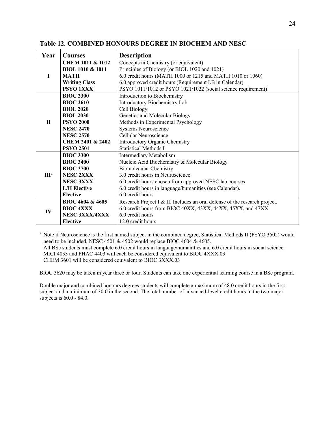| Year             | <b>Courses</b>              | <b>Description</b>                                                         |
|------------------|-----------------------------|----------------------------------------------------------------------------|
|                  | <b>CHEM 1011 &amp; 1012</b> | Concepts in Chemistry (or equivalent)                                      |
|                  | <b>BIOL 1010 &amp; 1011</b> | Principles of Biology (or BIOL 1020 and 1021)                              |
| L                | <b>MATH</b>                 | 6.0 credit hours (MATH 1000 or 1215 and MATH 1010 or 1060)                 |
|                  | <b>Writing Class</b>        | 6.0 approved credit hours (Requirement I.B in Calendar)                    |
|                  | PSYO 1XXX                   | PSYO 1011/1012 or PSYO 1021/1022 (social science requirement)              |
|                  | <b>BIOC 2300</b>            | Introduction to Biochemistry                                               |
|                  | <b>BIOC 2610</b>            | Introductory Biochemistry Lab                                              |
|                  | <b>BIOL 2020</b>            | Cell Biology                                                               |
|                  | <b>BIOL 2030</b>            | Genetics and Molecular Biology                                             |
| $\mathbf{H}$     | <b>PSYO 2000</b>            | Methods in Experimental Psychology                                         |
|                  | <b>NESC 2470</b>            | Systems Neuroscience                                                       |
|                  | <b>NESC 2570</b>            | Cellular Neuroscience                                                      |
|                  | <b>CHEM 2401 &amp; 2402</b> | Introductory Organic Chemistry                                             |
|                  | <b>PSYO 2501</b>            | <b>Statistical Methods I</b>                                               |
|                  | <b>BIOC 3300</b>            | Intermediary Metabolism                                                    |
|                  | <b>BIOC 3400</b>            | Nucleic Acid Biochemistry & Molecular Biology                              |
|                  | <b>BIOC 3700</b>            | <b>Biomolecular Chemistry</b>                                              |
| III <sup>a</sup> | <b>NESC 2XXX</b>            | 3.0 credit hours in Neuroscience                                           |
|                  | <b>NESC 3XXX</b>            | 6.0 credit hours chosen from approved NESC lab courses                     |
|                  | <b>L/H</b> Elective         | 6.0 credit hours in language/humanities (see Calendar).                    |
|                  | <b>Elective</b>             | 6.0 credit hours                                                           |
|                  | BIOC 4604 & 4605            | Research Project I & II. Includes an oral defense of the research project. |
| IV               | <b>BIOC 4XXX</b>            | 6.0 credit hours from BIOC 40XX, 43XX, 44XX, 45XX, and 47XX                |
|                  | NESC 3XXX/4XXX              | 6.0 credit hours                                                           |
|                  | <b>Elective</b>             | 12.0 credit hours                                                          |

#### **Table 12. COMBINED HONOURS DEGREE IN BIOCHEM AND NESC**

<sup>a</sup> Note if Neuroscience is the first named subject in the combined degree, Statistical Methods II (PSYO 3502) would need to be included, NESC 4501 & 4502 would replace BIOC 4604 & 4605. All BSc students must complete 6.0 credit hours in language/humanities and 6.0 credit hours in social science. MICI 4033 and PHAC 4403 will each be considered equivalent to BIOC 4XXX.03 CHEM 3601 will be considered equivalent to BIOC 3XXX.03

BIOC 3620 may be taken in year three or four. Students can take one experiential learning course in a BSc program.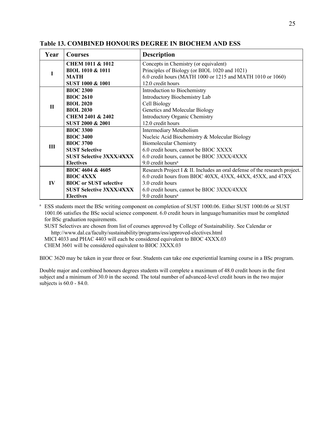| Year         | <b>Courses</b>                  | <b>Description</b>                                                         |
|--------------|---------------------------------|----------------------------------------------------------------------------|
|              | <b>CHEM 1011 &amp; 1012</b>     | Concepts in Chemistry (or equivalent)                                      |
|              | <b>BIOL 1010 &amp; 1011</b>     | Principles of Biology (or BIOL 1020 and 1021)                              |
|              | MATH                            | 6.0 credit hours (MATH 1000 or 1215 and MATH 1010 or 1060)                 |
|              | SUST 1000 & 1001                | 12.0 credit hours                                                          |
|              | <b>BIOC 2300</b>                | Introduction to Biochemistry                                               |
|              | <b>BIOC 2610</b>                | Introductory Biochemistry Lab                                              |
| $\mathbf{H}$ | <b>BIOL 2020</b>                | Cell Biology                                                               |
|              | <b>BIOL 2030</b>                | Genetics and Molecular Biology                                             |
|              | <b>CHEM 2401 &amp; 2402</b>     | Introductory Organic Chemistry                                             |
|              | SUST 2000 & 2001                | 12.0 credit hours                                                          |
|              | <b>BIOC 3300</b>                | Intermediary Metabolism                                                    |
|              | <b>BIOC 3400</b>                | Nucleic Acid Biochemistry & Molecular Biology                              |
| III          | <b>BIOC 3700</b>                | <b>Biomolecular Chemistry</b>                                              |
|              | <b>SUST Selective</b>           | 6.0 credit hours, cannot be BIOC XXXX                                      |
|              | <b>SUST Selective 3XXX/4XXX</b> | 6.0 credit hours, cannot be BIOC 3XXX/4XXX                                 |
|              | <b>Electives</b>                | $9.0$ credit hours <sup>a</sup>                                            |
|              | BIOC 4604 & 4605                | Research Project I & II. Includes an oral defense of the research project. |
|              | <b>BIOC 4XXX</b>                | 6.0 credit hours from BIOC 40XX, 43XX, 44XX, 45XX, and 47XX                |
| $\bf{IV}$    | <b>BIOC</b> or SUST selective   | 3.0 credit hours                                                           |
|              | <b>SUST Selective 3XXX/4XXX</b> | 6.0 credit hours, cannot be BIOC 3XXX/4XXX                                 |
|              | <b>Electives</b>                | $9.0$ credit hours <sup>a</sup>                                            |

#### **Table 13. COMBINED HONOURS DEGREE IN BIOCHEM AND ESS**

<sup>a</sup> ESS students meet the BSc writing component on completion of SUST 1000.06. Either SUST 1000.06 or SUST 1001.06 satisfies the BSc social science component. 6.0 credit hours in language/humanities must be completed for BSc graduation requirements.

SUST Selectives are chosen from list of courses approved by College of Sustainability. See Calendar or http://www.dal.ca/faculty/sustainability/programs/ess/approved-electives.html MICI 4033 and PHAC 4403 will each be considered equivalent to BIOC 4XXX.03

CHEM 3601 will be considered equivalent to BIOC 3XXX.03

BIOC 3620 may be taken in year three or four. Students can take one experiential learning course in a BSc program.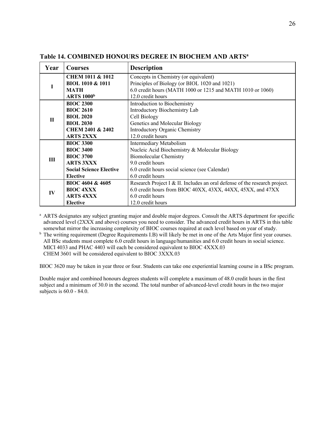| Year        | <b>Courses</b>                 | <b>Description</b>                                                         |
|-------------|--------------------------------|----------------------------------------------------------------------------|
|             | <b>CHEM 1011 &amp; 1012</b>    | Concepts in Chemistry (or equivalent)                                      |
|             | <b>BIOL 1010 &amp; 1011</b>    | Principles of Biology (or BIOL 1020 and 1021)                              |
|             | <b>MATH</b>                    | 6.0 credit hours (MATH 1000 or 1215 and MATH 1010 or 1060)                 |
|             | <b>ARTS 1000</b> <sup>b</sup>  | 12.0 credit hours                                                          |
|             | <b>BIOC 2300</b>               | Introduction to Biochemistry                                               |
|             | <b>BIOC 2610</b>               | Introductory Biochemistry Lab                                              |
| $\mathbf H$ | <b>BIOL 2020</b>               | Cell Biology                                                               |
|             | <b>BIOL 2030</b>               | Genetics and Molecular Biology                                             |
|             | <b>CHEM 2401 &amp; 2402</b>    | <b>Introductory Organic Chemistry</b>                                      |
|             | <b>ARTS 2XXX</b>               | 12.0 credit hours                                                          |
|             | <b>BIOC 3300</b>               | <b>Intermediary Metabolism</b>                                             |
|             | <b>BIOC 3400</b>               | Nucleic Acid Biochemistry & Molecular Biology                              |
| III         | <b>BIOC 3700</b>               | <b>Biomolecular Chemistry</b>                                              |
|             | <b>ARTS 3XXX</b>               | 9.0 credit hours                                                           |
|             | <b>Social Science Elective</b> | 6.0 credit hours social science (see Calendar)                             |
|             | <b>Elective</b>                | 6.0 credit hours                                                           |
|             | BIOC 4604 & 4605               | Research Project I & II. Includes an oral defense of the research project. |
| $\bf{IV}$   | <b>BIOC 4XXX</b>               | 6.0 credit hours from BIOC 40XX, 43XX, 44XX, 45XX, and 47XX                |
|             | <b>ARTS 4XXX</b>               | 6.0 credit hours                                                           |
|             | <b>Elective</b>                | 12.0 credit hours                                                          |

#### **Table 14. COMBINED HONOURS DEGREE IN BIOCHEM AND ARTSa**

<sup>a</sup> ARTS designates any subject granting major and double major degrees. Consult the ARTS department for specific advanced level (2XXX and above) courses you need to consider. The advanced credit hours in ARTS in this table somewhat mirror the increasing complexity of BIOC courses required at each level based on year of study.

<sup>b</sup> The writing requirement (Degree Requirements I.B) will likely be met in one of the Arts Major first year courses. All BSc students must complete 6.0 credit hours in language/humanities and 6.0 credit hours in social science. MICI 4033 and PHAC 4403 will each be considered equivalent to BIOC 4XXX.03 CHEM 3601 will be considered equivalent to BIOC 3XXX.03

BIOC 3620 may be taken in year three or four. Students can take one experiential learning course in a BSc program.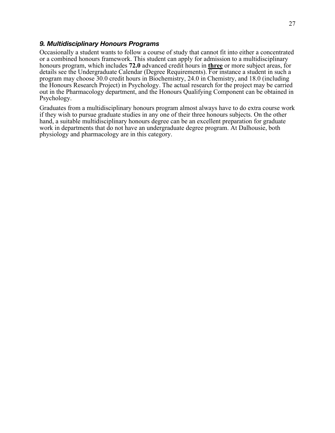#### *9. Multidisciplinary Honours Programs*

Occasionally a student wants to follow a course of study that cannot fit into either a concentrated or a combined honours framework. This student can apply for admission to a multidisciplinary honours program, which includes **72.0** advanced credit hours in **three** or more subject areas, for details see the Undergraduate Calendar (Degree Requirements). For instance a student in such a program may choose 30.0 credit hours in Biochemistry, 24.0 in Chemistry, and 18.0 (including the Honours Research Project) in Psychology. The actual research for the project may be carried out in the Pharmacology department, and the Honours Qualifying Component can be obtained in Psychology.

Graduates from a multidisciplinary honours program almost always have to do extra course work if they wish to pursue graduate studies in any one of their three honours subjects. On the other hand, a suitable multidisciplinary honours degree can be an excellent preparation for graduate work in departments that do not have an undergraduate degree program. At Dalhousie, both physiology and pharmacology are in this category.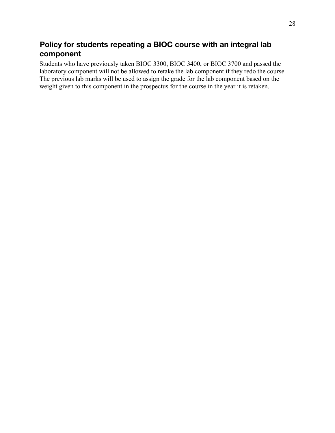## **Policy for students repeating a BIOC course with an integral lab component**

Students who have previously taken BIOC 3300, BIOC 3400, or BIOC 3700 and passed the laboratory component will not be allowed to retake the lab component if they redo the course. The previous lab marks will be used to assign the grade for the lab component based on the weight given to this component in the prospectus for the course in the year it is retaken.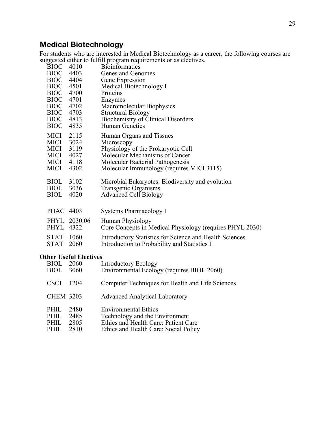## **Medical Biotechnology**

For students who are interested in Medical Biotechnology as a career, the following courses are suggested either to fulfill program requirements or as electives.

|             |                               | $\frac{1}{2}$ of $\frac{1}{2}$ of $\frac{1}{2}$ of $\frac{1}{2}$ of $\frac{1}{2}$ of $\frac{1}{2}$ of $\frac{1}{2}$ of $\frac{1}{2}$ of $\frac{1}{2}$ of $\frac{1}{2}$ |
|-------------|-------------------------------|------------------------------------------------------------------------------------------------------------------------------------------------------------------------|
| BIOC 4010   |                               | <b>Bioinformatics</b>                                                                                                                                                  |
| BIOC 4403   |                               | Genes and Genomes                                                                                                                                                      |
| BIOC 4404   |                               | Gene Expression                                                                                                                                                        |
| <b>BIOC</b> | 4501                          | Medical Biotechnology I                                                                                                                                                |
| <b>BIOC</b> | 4700                          | Proteins                                                                                                                                                               |
| <b>BIOC</b> | 4701                          | Enzymes                                                                                                                                                                |
| <b>BIOC</b> | 4702                          | Macromolecular Biophysics                                                                                                                                              |
| <b>BIOC</b> | 4703                          | <b>Structural Biology</b>                                                                                                                                              |
| <b>BIOC</b> | 4813                          | <b>Biochemistry of Clinical Disorders</b>                                                                                                                              |
| <b>BIOC</b> | 4835                          | Human Genetics                                                                                                                                                         |
| MICI 2115   |                               | Human Organs and Tissues                                                                                                                                               |
| MICI 3024   |                               | Microscopy                                                                                                                                                             |
| MICI 3119   |                               | Physiology of the Prokaryotic Cell                                                                                                                                     |
| MICI 4027   |                               | Molecular Mechanisms of Cancer                                                                                                                                         |
| MICI 4118   |                               | Molecular Bacterial Pathogenesis                                                                                                                                       |
| MICI        | 4302                          | Molecular Immunology (requires MICI 3115)                                                                                                                              |
| <b>BIOL</b> | 3102                          | Microbial Eukaryotes: Biodiversity and evolution                                                                                                                       |
| <b>BIOL</b> | 3036                          | Transgenic Organisms                                                                                                                                                   |
| <b>BIOL</b> | 4020                          | <b>Advanced Cell Biology</b>                                                                                                                                           |
| PHAC 4403   |                               | <b>Systems Pharmacology I</b>                                                                                                                                          |
|             | PHYL 2030.06                  | Human Physiology                                                                                                                                                       |
| PHYL 4322   |                               | Core Concepts in Medical Physiology (requires PHYL 2030)                                                                                                               |
| STAT 1060   |                               | Introductory Statistics for Science and Health Sciences                                                                                                                |
| STAT 2060   |                               | Introduction to Probability and Statistics I                                                                                                                           |
|             | <b>Other Useful Electives</b> |                                                                                                                                                                        |
| <b>BIOL</b> | 2060                          | Introductory Ecology                                                                                                                                                   |
| <b>BIOL</b> | 3060                          | Environmental Ecology (requires BIOL 2060)                                                                                                                             |
| <b>CSCI</b> | 1204                          | Computer Techniques for Health and Life Sciences                                                                                                                       |

Ethics and Health Care: Social Policy

CHEM 3203 Advanced Analytical Laboratory

PHIL 2485 Technology and the Environment<br>PHIL 2805 Ethics and Health Care: Patient Ca PHIL 2805 Ethics and Health Care: Patient Care<br>PHIL 2810 Ethics and Health Care: Social Policy

PHIL 2480 Environmental Ethics<br>PHIL 2485 Technology and the E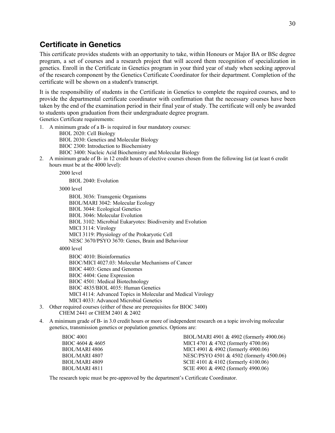## **Certificate in Genetics**

This certificate provides students with an opportunity to take, within Honours or Major BA or BSc degree program, a set of courses and a research project that will accord them recognition of specialization in genetics. Enroll in the Certificate in Genetics program in your third year of study when seeking approval of the research component by the Genetics Certificate Coordinator for their department. Completion of the certificate will be shown on a student's transcript.

It is the responsibility of students in the Certificate in Genetics to complete the required courses, and to provide the departmental certificate coordinator with confirmation that the necessary courses have been taken by the end of the examination period in their final year of study. The certificate will only be awarded to students upon graduation from their undergraduate degree program. Genetics Certificate requirements:

1. A minimum grade of a B- is required in four mandatory courses:

BIOL 2020: Cell Biology BIOL 2030: Genetics and Molecular Biology BIOC 2300: Introduction to Biochemistry BIOC 3400: Nucleic Acid Biochemistry and Molecular Biology

2. A minimum grade of B- in 12 credit hours of elective courses chosen from the following list (at least 6 credit hours must be at the 4000 level):

2000 level

BIOL 2040: Evolution

3000 level

BIOL 3036: Transgenic Organisms BIOL/MARI 3042: Molecular Ecology BIOL 3044: Ecological Genetics BIOL 3046: Molecular Evolution BIOL 3102: Microbial Eukaryotes: Biodiversity and Evolution MICI 3114: Virology MICI 3119: Physiology of the Prokaryotic Cell NESC 3670/PSYO 3670: Genes, Brain and Behaviour

#### 4000 level

BIOC 4010: Bioinformatics BIOC/MICI 4027.03: Molecular Mechanisms of Cancer BIOC 4403: Genes and Genomes BIOC 4404: Gene Expression BIOC 4501: Medical Biotechnology BIOC 4835/BIOL 4035: Human Genetics MICI 4114: Advanced Topics in Molecular and Medical Virology MICI 4033: Advanced Microbial Genetics

- 3. Other required courses (either of these are prerequisites for BIOC 3400) CHEM 2441 or CHEM 2401 & 2402
- 4. A minimum grade of B- in 3.0 credit hours or more of independent research on a topic involving molecular genetics, transmission genetics or population genetics. Options are:

| BIOC 4001             | BIOL/MARI 4901 & 4902 (formerly 4900.06) |
|-----------------------|------------------------------------------|
| BIOC 4604 & 4605      | MICI 4701 & 4702 (formerly 4700.06)      |
| <b>BIOL/MARI 4806</b> | MICI 4901 & 4902 (formerly 4900.06)      |
| BIOL/MARI 4807        | NESC/PSYO 4501 & 4502 (formerly 4500.06) |
| BIOL/MARI 4809        | SCIE 4101 & 4102 (formerly 4100.06)      |
| BIOL/MARI 4811        | SCIE 4901 & 4902 (formerly 4900.06)      |

The research topic must be pre-approved by the department's Certificate Coordinator.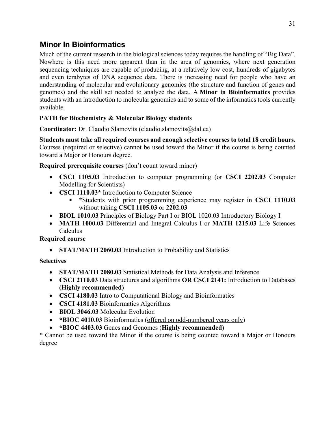## **Minor In Bioinformatics**

Much of the current research in the biological sciences today requires the handling of "Big Data". Nowhere is this need more apparent than in the area of genomics, where next generation sequencing techniques are capable of producing, at a relatively low cost, hundreds of gigabytes and even terabytes of DNA sequence data. There is increasing need for people who have an understanding of molecular and evolutionary genomics (the structure and function of genes and genomes) and the skill set needed to analyze the data. A **Minor in Bioinformatics** provides students with an introduction to molecular genomics and to some of the informatics tools currently available.

## **PATH for Biochemistry & Molecular Biology students**

**Coordinator:** Dr. Claudio Slamovits (claudio.slamovits@dal.ca)

**Students must take all required courses and enough selective courses to total 18 credit hours.**  Courses (required or selective) cannot be used toward the Minor if the course is being counted toward a Major or Honours degree.

#### **Required prerequisite courses** (don't count toward minor)

- **CSCI 1105.03** Introduction to computer programming (or **CSCI 2202.03** Computer Modelling for Scientists)
- **CSCI 1110.03\*** Introduction to Computer Science
	- § **\***Students with prior programming experience may register in **CSCI 1110.03**  without taking **CSCI 1105.03** or **2202.03**
- **BIOL 1010.03** Principles of Biology Part I or BIOL 1020.03 Introductory Biology I
- **MATH 1000.03** Differential and Integral Calculus I or **MATH 1215.03** Life Sciences Calculus

**Required course**

• **STAT/MATH 2060.03** Introduction to Probability and Statistics

#### **Selectives**

- **STAT/MATH 2080.03** Statistical Methods for Data Analysis and Inference
- **CSCI 2110.03** Data structures and algorithms **OR CSCI 2141:** Introduction to Databases **(Highly recommended)**
- **CSCI 4180.03** Intro to Computational Biology and Bioinformatics
- **CSCI 4181.03** Bioinformatics Algorithms
- **BIOL 3046.03** Molecular Evolution
- **\*BIOC 4010.03** Bioinformatics (offered on odd-numbered years only)
- **\*BIOC 4403.03** Genes and Genomes (**Highly recommended**)

\* Cannot be used toward the Minor if the course is being counted toward a Major or Honours degree